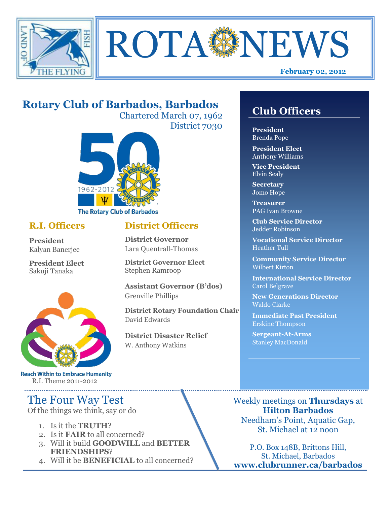



# **Rotary Club of Barbados, Barbados**

Chartered March 07, 1962 District 7030



# **R.I. Officers**

**President**  Kalyan Banerjee

**President Elect** Sakuji Tanaka



**Reach Within to Embrace Humanity** R.I. Theme 2011-2012

# The Four Way Test

Of the things we think, say or do

- 1. Is it the **TRUTH**?
- 2. Is it **FAIR** to all concerned?
- 3. Will it build **GOODWILL** and **BETTER FRIENDSHIPS**?
- 4. Will it be **BENEFICIAL** to all concerned?

# **Club Officers**

**Club Officers** 

**President** Brenda Pope

**President Elect** Anthony Williams

**Vice President** Elvin Sealy

**Secretary** Jomo Hope

**Treasurer** PAG Ivan Browne

**Club Service Director** Jedder Robinson

**Vocational Service Director** Heather Tull

**Community Service Director** Wilbert Kirton

**International Service Director** Carol Belgrave

**New Generations Director** Waldo Clarke

**Immediate Past President** Erskine Thompson

**Sergeant-At-Arms** Stanley MacDonald

Weekly meetings on **Thursdays** at **Hilton Barbados** Needham's Point, Aquatic Gap, St. Michael at 12 noon

P.O. Box 148B, Brittons Hill, St. Michael, Barbados **www.clubrunner.ca/barbados**

# **District Officers**

**District Governor** Lara Quentrall-Thomas

**District Governor Elect** Stephen Ramroop

**Assistant Governor (B'dos)** Grenville Phillips

**District Rotary Foundation Chair** David Edwards

**District Disaster Relief** W. Anthony Watkins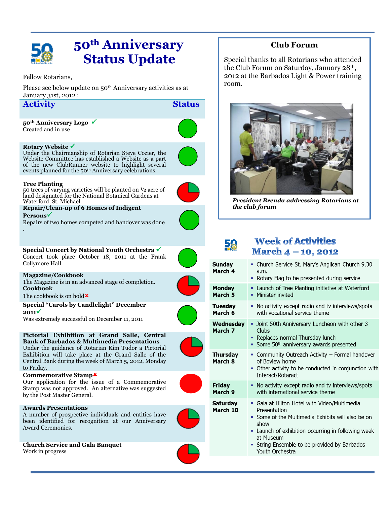

# **50th Anniversary Status Update**

Fellow Rotarians,

Please see below update on 50th Anniversary activities as at January 31st, 2012 :

### **Activity Status**

**50th Anniversary Logo**  Created and in use

#### **Rotary Website**

Under the Chairmanship of Rotarian Steve Cozier, the Website Committee has established a Website as a part of the new ClubRunner website to highlight several events planned for the 50<sup>th</sup> Anniversary celebrations.

### **Tree Planting**

50 trees of varying varieties will be planted on ½ acre of land designated for the National Botanical Gardens at Waterford, St. Michael.

#### **Repair/Clean-up of 6 Homes of Indigent Persons**

Repairs of two homes competed and handover was done .

**Special Concert by National Youth Orchestra**

Concert took place October 18, 2011 at the Frank Collymore Hall

#### **Magazine/Cookbook** The Magazine is in an advanced stage of completion. **Cookbook**

The cookbook is on hold  $\star$ 

**Special "Carols by Candlelight" December 2011**

Was extremely successful on December 11, 2011

### **Pictorial Exhibition at Grand Salle, Central**

**Bank of Barbados & Multimedia Presentations** Under the guidance of Rotarian Kim Tudor a Pictorial Exhibition will take place at the Grand Salle of the Central Bank during the week of March 5, 2012, Monday to Friday.

#### **Commemorative Stamp**

Our application for the issue of a Commemorative Stamp was not approved. An alternative was suggested by the Post Master General.

#### **Awards Presentations**

A number of prospective individuals and entities have been identified for recognition at our Anniversary Award Ceremonies.



Work in progress



Special thanks to all Rotarians who attended the Club Forum on Saturday, January 28th, 2012 at the Barbados Light & Power training room.



*President Brenda addressing Rotarians at the club forum*

# 58

### **Week of Activities** March 4 - 10, 2012

| <b>Sunday</b><br>March 4    | • Church Service St. Mary's Anglican Church 9.30<br>a.m.<br>Rotary Flag to be presented during service<br>٠                                                                                                                                                           |  |  |  |
|-----------------------------|-----------------------------------------------------------------------------------------------------------------------------------------------------------------------------------------------------------------------------------------------------------------------|--|--|--|
| <b>Monday</b><br>March 5    | Launch of Tree Planting initiative at Waterford<br>٠<br>Minister invited<br>۰.                                                                                                                                                                                        |  |  |  |
| Tuesday<br>March 6          | No activity except radio and tv interviews/spots<br>ò,<br>with vocational service theme                                                                                                                                                                               |  |  |  |
| Wednesday<br>March 7        | • Joint 50th Anniversary Luncheon with other 3<br>Clubs<br>Replaces normal Thursday lunch<br>Some 50 <sup>th</sup> anniversary awards presented<br>ш.                                                                                                                 |  |  |  |
| <b>Thursday</b><br>March 8  | Community Outreach Activity - Formal handover<br>of Boview home<br>Other activity to be conducted in conjunction with<br>Interact/Rotaract                                                                                                                            |  |  |  |
| Friday<br>March 9           | No activity except radio and tv interviews/spots<br>٠<br>with international service theme                                                                                                                                                                             |  |  |  |
| <b>Saturday</b><br>March 10 | • Gala at Hilton Hotel with Video/Multimedia<br>Presentation<br>Some of the Multimedia Exhibits will also be on<br>a.<br>show<br>Launch of exhibition occurring in following week<br>at Museum<br>String Ensemble to be provided by Barbados<br>Ľ,<br>Youth Orchestra |  |  |  |











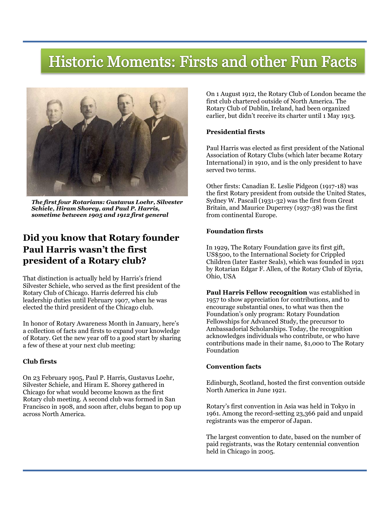# Historic Moments: Firsts and other Fun Facts



*The first four Rotarians: Gustavus Loehr, Silvester Schiele, Hiram Shorey, and Paul P. Harris, sometime between 1905 and 1912 first general* 

# **Did you know that Rotary founder Paul Harris wasn't the first president of a Rotary club?**

That distinction is actually held by Harris's friend Silvester Schiele, who served as the first president of the Rotary Club of Chicago. Harris deferred his club leadership duties until February 1907, when he was elected the third president of the Chicago club.

In honor of Rotary Awareness Month in January, here's a collection of facts and firsts to expand your knowledge of Rotary. Get the new year off to a good start by sharing a few of these at your next club meeting:

#### **Club firsts**

On 23 February 1905, Paul P. Harris, Gustavus Loehr, Silvester Schiele, and Hiram E. Shorey gathered in Chicago for what would become known as the first Rotary club meeting. A second club was formed in [San](http://www.rotary.org/en/MediaAndNews/News/Pages/081112_news_historic.aspx)  [Francisco](http://www.rotary.org/en/MediaAndNews/News/Pages/081112_news_historic.aspx) in 1908, and soon after, clubs began to pop up across North America.

On 1 August 1912, the Rotary Club of London became the first club chartered outside of North America. The Rotary Club of Dublin, Ireland, had been organized earlier, but didn't receive its charter until 1 May 1913.

#### **Presidential firsts**

Paul Harris was elected as first president of the National Association of Rotary Clubs (which later became Rotary International) in 1910, and is the only president to have served two terms.

Other firsts: Canadian E. Leslie Pidgeon (1917-18) was the first Rotary president from outside the United States, Sydney W. Pascall (1931-32) was the first from Great Britain, and Maurice Duperrey (1937-38) was the first from continental Europe.

#### **Foundation firsts**

In 1929, The Rotary Foundation gave its first gift, US\$500, to the International Society for Crippled Children (later Easter Seals), which was founded in 1921 by Rotarian Edgar F. Allen, of the Rotary Club of Elyria, Ohio, USA

**Paul Harris Fellow recognition** was established in 1957 to show appreciation for contributions, and to encourage substantial ones, to what was then the Foundation's only program: Rotary Foundation Fellowships for Advanced Study, the precursor to Ambassadorial Scholarships. Today, the recognition acknowledges individuals who contribute, or who have contributions made in their name, \$1,000 to The Rotary Foundation

#### **Convention facts**

Edinburgh, Scotland, hosted the first convention outside North America in June 1921.

Rotary's first convention in Asia was held in Tokyo in 1961. Among the record-setting 23,366 paid and unpaid registrants was the emperor of Japan.

The largest convention to date, based on the number of paid registrants, was the Rotary centennial convention held in Chicago in 2005.